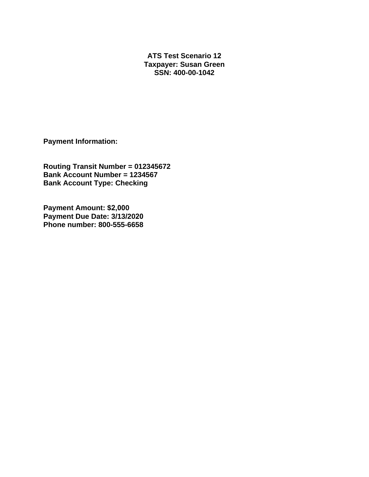**ATS Test Scenario 12 Taxpayer: Susan Green SSN: 400-00-1042** 

**Payment Information:** 

**Routing Transit Number = 012345672 Bank Account Number = 1234567 Bank Account Type: Checking** 

**Payment Amount: \$2,000 Payment Due Date: 3/13/2020 Phone number: 800-555-6658**